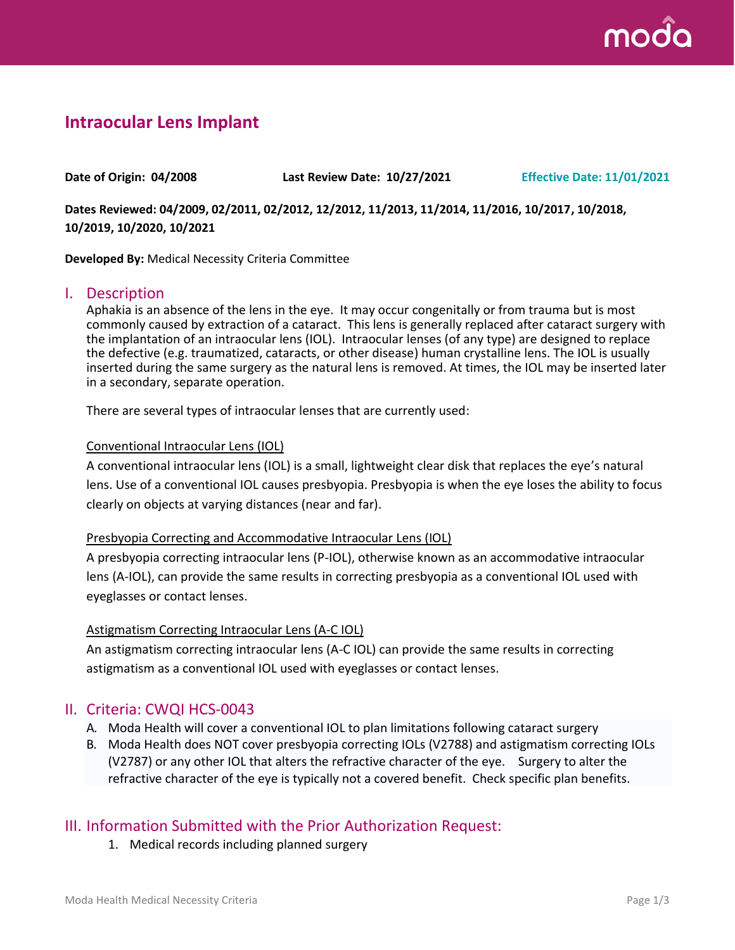

# **Intraocular Lens Implant**

**Date of Origin: 04/2008 Last Review Date: 10/27/2021 Effective Date: 11/01/2021**

**Dates Reviewed: 04/2009, 02/2011, 02/2012, 12/2012, 11/2013, 11/2014, 11/2016, 10/2017, 10/2018, 10/2019, 10/2020, 10/2021**

**Developed By:** Medical Necessity Criteria Committee

### I. Description

Aphakia is an absence of the lens in the eye. It may occur congenitally or from trauma but is most commonly caused by extraction of a cataract. This lens is generally replaced after cataract surgery with the implantation of an intraocular lens (IOL). Intraocular lenses (of any type) are designed to replace the defective (e.g. traumatized, cataracts, or other disease) human crystalline lens. The IOL is usually inserted during the same surgery as the natural lens is removed. At times, the IOL may be inserted later in a secondary, separate operation.

There are several types of intraocular lenses that are currently used:

#### Conventional Intraocular Lens (IOL)

A conventional intraocular lens (IOL) is a small, lightweight clear disk that replaces the eye's natural lens. Use of a conventional IOL causes presbyopia. Presbyopia is when the eye loses the ability to focus clearly on objects at varying distances (near and far).

#### Presbyopia Correcting and Accommodative Intraocular Lens (IOL)

A presbyopia correcting intraocular lens (P-IOL), otherwise known as an accommodative intraocular lens (A-IOL), can provide the same results in correcting presbyopia as a conventional IOL used with eyeglasses or contact lenses.

#### Astigmatism Correcting Intraocular Lens (A-C IOL)

An astigmatism correcting intraocular lens (A-C IOL) can provide the same results in correcting astigmatism as a conventional IOL used with eyeglasses or contact lenses.

### II. Criteria: CWQI HCS-0043

- A. Moda Health will cover a conventional IOL to plan limitations following cataract surgery
- B. Moda Health does NOT cover presbyopia correcting IOLs (V2788) and astigmatism correcting IOLs (V2787) or any other IOL that alters the refractive character of the eye. Surgery to alter the refractive character of the eye is typically not a covered benefit. Check specific plan benefits.

### III. Information Submitted with the Prior Authorization Request:

1. Medical records including planned surgery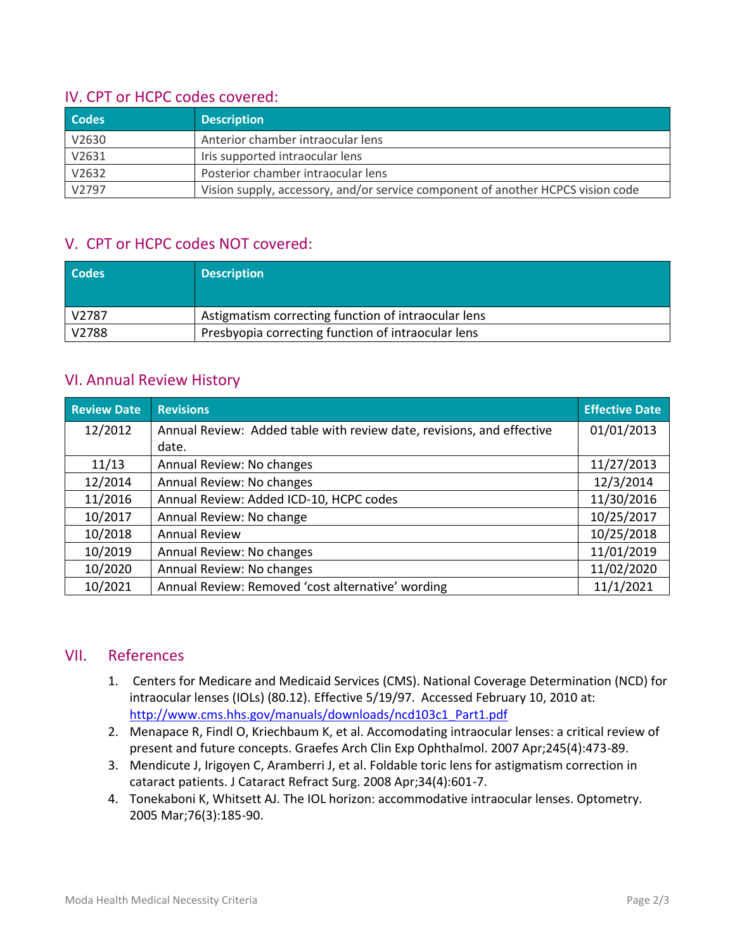# IV. CPT or HCPC codes covered:

| <b>Codes</b> | <b>Description</b>                                                              |
|--------------|---------------------------------------------------------------------------------|
| V2630        | Anterior chamber intraocular lens                                               |
| V2631        | Iris supported intraocular lens                                                 |
| V2632        | Posterior chamber intraocular lens                                              |
| V2797        | Vision supply, accessory, and/or service component of another HCPCS vision code |

# V. CPT or HCPC codes NOT covered:

| <b>Codes</b> | <b>Description</b>                                  |
|--------------|-----------------------------------------------------|
| V2787        | Astigmatism correcting function of intraocular lens |
| V2788        | Presbyopia correcting function of intraocular lens  |

# VI. Annual Review History

| <b>Review Date</b> | <b>Revisions</b>                                                      | <b>Effective Date</b> |
|--------------------|-----------------------------------------------------------------------|-----------------------|
| 12/2012            | Annual Review: Added table with review date, revisions, and effective | 01/01/2013            |
|                    | date.                                                                 |                       |
| 11/13              | Annual Review: No changes                                             | 11/27/2013            |
| 12/2014            | Annual Review: No changes                                             | 12/3/2014             |
| 11/2016            | Annual Review: Added ICD-10, HCPC codes                               | 11/30/2016            |
| 10/2017            | Annual Review: No change                                              | 10/25/2017            |
| 10/2018            | <b>Annual Review</b>                                                  | 10/25/2018            |
| 10/2019            | Annual Review: No changes                                             | 11/01/2019            |
| 10/2020            | Annual Review: No changes                                             | 11/02/2020            |
| 10/2021            | Annual Review: Removed 'cost alternative' wording                     | 11/1/2021             |

# VII. References

- 1. Centers for Medicare and Medicaid Services (CMS). National Coverage Determination (NCD) for intraocular lenses (IOLs) (80.12). Effective 5/19/97. Accessed February 10, 2010 at: [http://www.cms.hhs.gov/manuals/downloads/ncd103c1\\_Part1.pdf](http://www.cms.hhs.gov/manuals/downloads/ncd103c1_Part1.pdf)
- 2. Menapace R, Findl O, Kriechbaum K, et al. Accomodating intraocular lenses: a critical review of present and future concepts. Graefes Arch Clin Exp Ophthalmol. 2007 Apr;245(4):473-89.
- 3. Mendicute J, Irigoyen C, Aramberri J, et al. Foldable toric lens for astigmatism correction in cataract patients. J Cataract Refract Surg. 2008 Apr;34(4):601-7.
- 4. Tonekaboni K, Whitsett AJ. The IOL horizon: accommodative intraocular lenses. Optometry. 2005 Mar;76(3):185-90.